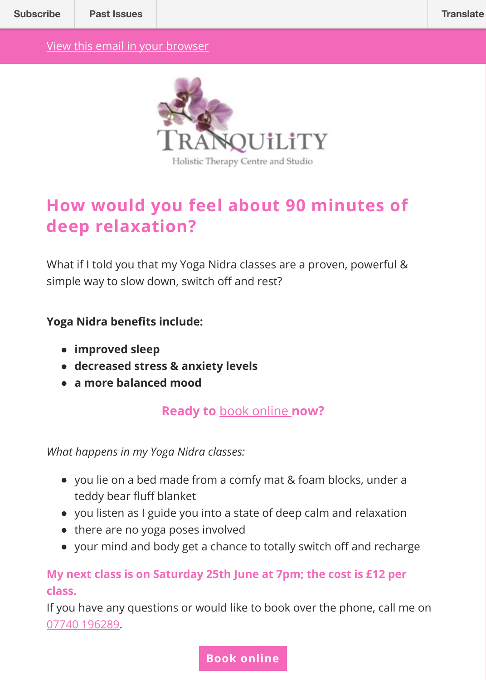

## **How would you feel about 90 minutes of deep relaxation?**

What if I told you that my Yoga Nidra classes are a proven, powerful & simple way to slow down, switch off and rest?

**Yoga Nidra benefits include:** 

- **improved sleep**
- **decreased stress & anxiety levels**
- **a more balanced mood**

**Ready to** book online **now?**

*What happens in my Yoga Nidra classes:*

- you lie on a bed made from a comfy mat & foam blocks, under a teddy bear fluff blanket
- you listen as I guide you into a state of deep calm and relaxation
- there are no yoga poses involved
- your mind and body get a c[hance to totally](https://10to8.com/book/tranquilityevents/) switch off and recharge

## **My next class is on Saturday 25th June at 7pm; the cost is £12 per class.**

If you have any questions or would like to book over the phone, call me on 07740 196289.

## **Book online**